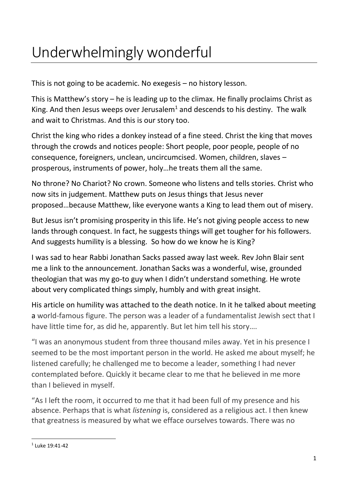## Underwhelmingly wonderful

This is not going to be academic. No exegesis – no history lesson.

This is Matthew's story – he is leading up to the climax. He finally proclaims Christ as King. And then Jesus weeps over Jerusalem<sup>1</sup> and descends to his destiny. The walk and wait to Christmas. And this is our story too.

Christ the king who rides a donkey instead of a fine steed. Christ the king that moves through the crowds and notices people: Short people, poor people, people of no consequence, foreigners, unclean, uncircumcised. Women, children, slaves – prosperous, instruments of power, holy…he treats them all the same.

No throne? No Chariot? No crown. Someone who listens and tells stories. Christ who now sits in judgement. Matthew puts on Jesus things that Jesus never proposed…because Matthew, like everyone wants a King to lead them out of misery.

But Jesus isn't promising prosperity in this life. He's not giving people access to new lands through conquest. In fact, he suggests things will get tougher for his followers. And suggests humility is a blessing. So how do we know he is King?

I was sad to hear Rabbi Jonathan Sacks passed away last week. Rev John Blair sent me a link to the announcement. Jonathan Sacks was a wonderful, wise, grounded theologian that was my go-to guy when I didn't understand something. He wrote about very complicated things simply, humbly and with great insight.

His article on humility was attached to the death notice. In it he talked about meeting a world-famous figure. The person was a leader of a fundamentalist Jewish sect that I have little time for, as did he, apparently. But let him tell his story….

"I was an anonymous student from three thousand miles away. Yet in his presence I seemed to be the most important person in the world. He asked me about myself; he listened carefully; he challenged me to become a leader, something I had never contemplated before. Quickly it became clear to me that he believed in me more than I believed in myself.

"As I left the room, it occurred to me that it had been full of my presence and his absence. Perhaps that is what *listening* is, considered as a religious act. I then knew that greatness is measured by what we efface ourselves towards. There was no

<sup>1</sup> Luke 19:41-42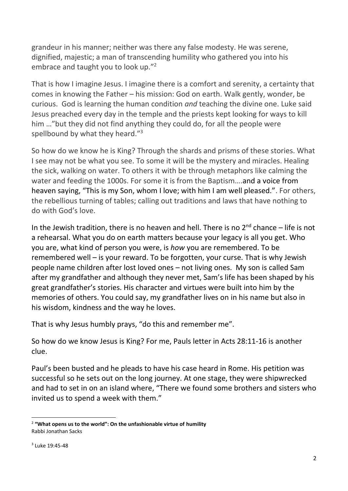grandeur in his manner; neither was there any false modesty. He was serene, dignified, majestic; a man of transcending humility who gathered you into his embrace and taught you to look up."<sup>2</sup>

That is how I imagine Jesus. I imagine there is a comfort and serenity, a certainty that comes in knowing the Father – his mission: God on earth. Walk gently, wonder, be curious. God is learning the human condition *and* teaching the divine one. Luke said Jesus preached every day in the temple and the priests kept looking for ways to kill him …"but they did not find anything they could do, for all the people were spellbound by what they heard."<sup>3</sup>

So how do we know he is King? Through the shards and prisms of these stories. What I see may not be what you see. To some it will be the mystery and miracles. Healing the sick, walking on water. To others it with be through metaphors like calming the water and feeding the 1000s. For some it is from the Baptism….and a voice from heaven saying, "This is my Son, whom I love; with him I am well pleased.". For others, the rebellious turning of tables; calling out traditions and laws that have nothing to do with God's love.

In the Jewish tradition, there is no heaven and hell. There is no  $2^{nd}$  chance – life is not a rehearsal. What you do on earth matters because your legacy is all you get. Who you are, what kind of person you were, is *how* you are remembered. To be remembered well – is your reward. To be forgotten, your curse. That is why Jewish people name children after lost loved ones – not living ones. My son is called Sam after my grandfather and although they never met, Sam's life has been shaped by his great grandfather's stories. His character and virtues were built into him by the memories of others. You could say, my grandfather lives on in his name but also in his wisdom, kindness and the way he loves.

That is why Jesus humbly prays, "do this and remember me".

So how do we know Jesus is King? For me, Pauls letter in Acts 28:11-16 is another clue.

Paul's been busted and he pleads to have his case heard in Rome. His petition was successful so he sets out on the long journey. At one stage, they were shipwrecked and had to set in on an island where, "There we found some brothers and sisters who invited us to spend a week with them."

<sup>2</sup> **"What opens us to the world": On the unfashionable virtue of humility** Rabbi Jonathan Sacks

<sup>3</sup> Luke 19:45-48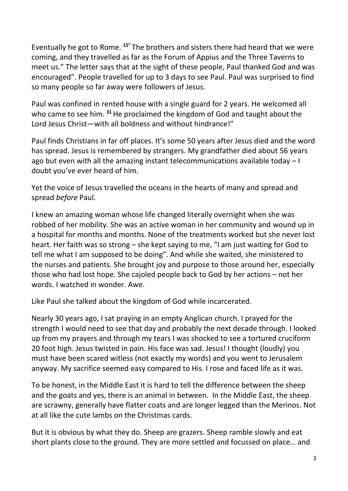Eventually he got to Rome. **<sup>15</sup>"** The brothers and sisters there had heard that we were coming, and they travelled as far as the Forum of Appius and the Three Taverns to meet us." The letter says that at the sight of these people, Paul thanked God and was encouraged". People travelled for up to 3 days to see Paul. Paul was surprised to find so many people so far away were followers of Jesus.

Paul was confined in rented house with a single guard for 2 years. He welcomed all who came to see him. **<sup>31</sup>**He proclaimed the kingdom of God and taught about the Lord Jesus Christ—with all boldness and without hindrance!"

Paul finds Christians in far off places. It's some 50 years after Jesus died and the word has spread. Jesus is remembered by strangers. My grandfather died about 56 years ago but even with all the amazing instant telecommunications available today – I doubt you've ever heard of him.

Yet the voice of Jesus travelled the oceans in the hearts of many and spread and spread *before* Paul.

I knew an amazing woman whose life changed literally overnight when she was robbed of her mobility. She was an active woman in her community and wound up in a hospital for months and months. None of the treatments worked but she never lost heart. Her faith was so strong – she kept saying to me, "I am just waiting for God to tell me what I am supposed to be doing". And while she waited, she ministered to the nurses and patients. She brought joy and purpose to those around her, especially those who had lost hope. She cajoled people back to God by her actions – not her words. I watched in wonder. Awe.

Like Paul she talked about the kingdom of God while incarcerated.

Nearly 30 years ago, I sat praying in an empty Anglican church. I prayed for the strength I would need to see that day and probably the next decade through. I looked up from my prayers and through my tears I was shocked to see a tortured cruciform 20 foot high. Jesus twisted in pain. His face was sad. Jesus! I thought (loudly) you must have been scared witless (not exactly my words) and you went to Jerusalem anyway. My sacrifice seemed easy compared to His. I rose and faced life as it was.

To be honest, in the Middle East it is hard to tell the difference between the sheep and the goats and yes, there is an animal in between. In the Middle East, the sheep are scrawny, generally have flatter coats and are longer legged than the Merinos. Not at all like the cute lambs on the Christmas cards.

But it is obvious by what they do. Sheep are grazers. Sheep ramble slowly and eat short plants close to the ground. They are more settled and focussed on place… and